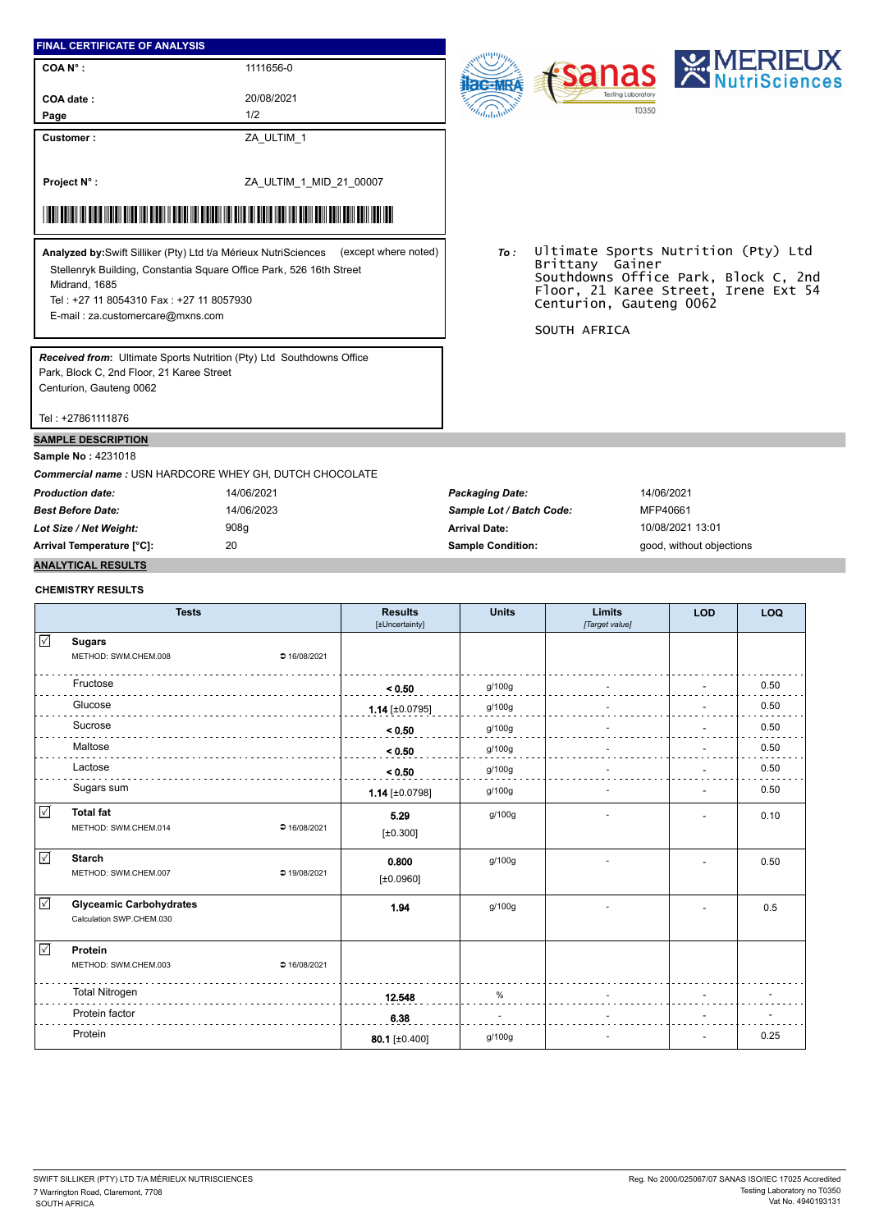## **FINAL CERTIFICATE OF ANALYSIS**

**COA N° :**

20/08/2021

1111656-0

**Customer :**

**COA date : Page**

1/2

ZA\_ULTIM\_1

ZA\_ULTIM\_1\_MID\_21\_00007 **Project N° :**

## \*ZA\_ULTIM\_1\_MID\_21\_00007\_MID\_21\_00007\_MID\_21\_00007\_MID\_21\_MID\_21\_00007\_MID\_21\_MID\_21\_MID\_21\_MID\_21\_MID\_21\_MID\_

Stellenryk Building, Constantia Square Office Park, 526 16th Street Midrand, 1685 Tel : +27 11 8054310 Fax : +27 11 8057930 **Analyzed by:**Swift Silliker (Pty) Ltd t/a Mérieux NutriSciences (except where noted) *To :*

E-mail : za.customercare@mxns.com

*Received from***:** Ultimate Sports Nutrition (Pty) Ltd Southdowns Office Park, Block C, 2nd Floor, 21 Karee Street Centurion, Gauteng 0062

Southdowns Office Park, Block C, 2nd Floor, 21 Karee Street, Irene Ext 54 Centurion, Gauteng 0062 SOUTH AFRICA

Tel : +27861111876

## **SAMPLE DESCRIPTION**

**Sample No :** 4231018

*Commercial name :* USN HARDCORE WHEY GH, DUTCH CHOCOLATE

*Production date:* 14/06/2021 *Packaging Date:* 14/06/2021 *Best Before Date:* 14/06/2023 *Sample Lot / Batch Code:* MFP40661 *Lot Size / Net Weight:* 908g **Arrival Date:** 10/08/2021 13:01 **Arrival Temperature [°C]:** 20 **Sample Condition:** good, without objections

Ultimate Sports Nutrition (Pty) Ltd

## **ANALYTICAL RESULTS CHEMISTRY RESULTS**

|              | <b>Tests</b>                   |              | <b>Results</b><br>[±Uncertainty] | <b>Units</b> | <b>Limits</b><br>[Target value] | <b>LOD</b> | LOQ  |
|--------------|--------------------------------|--------------|----------------------------------|--------------|---------------------------------|------------|------|
| $\checkmark$ | <b>Sugars</b>                  |              |                                  |              |                                 |            |      |
|              | METHOD: SWM.CHEM.008           | ● 16/08/2021 |                                  |              |                                 |            |      |
|              | Fructose                       |              | < 0.50                           | g/100g       |                                 |            | 0.50 |
|              | Glucose                        |              | $1.14$ [±0.0795]                 | g/100g       |                                 |            | 0.50 |
|              | Sucrose                        |              | < 0.50                           | g/100g       |                                 |            | 0.50 |
|              | Maltose                        |              | < 0.50                           | g/100g       |                                 |            | 0.50 |
|              | Lactose                        |              | < 0.50                           | g/100g       |                                 |            | 0.50 |
|              | Sugars sum                     |              | $1.14$ [±0.0798]                 | g/100g       |                                 |            | 0.50 |
| $\checkmark$ | <b>Total fat</b>               | ● 16/08/2021 | 5.29                             | g/100g       |                                 |            | 0.10 |
|              | METHOD: SWM.CHEM.014           |              | [±0.300]                         |              |                                 |            |      |
| ☑            | <b>Starch</b>                  | ● 19/08/2021 | 0.800                            | g/100g       |                                 |            | 0.50 |
|              | METHOD: SWM.CHEM.007           |              | [±0.0960]                        |              |                                 |            |      |
| $\sqrt{}$    | <b>Glyceamic Carbohydrates</b> |              | 1.94                             | g/100g       |                                 |            | 0.5  |
|              | Calculation SWP.CHEM.030       |              |                                  |              |                                 |            |      |
| $\sqrt{ }$   | Protein                        |              |                                  |              |                                 |            |      |
|              | METHOD: SWM.CHEM.003           | 216/08/2021  |                                  |              |                                 |            |      |
|              | <b>Total Nitrogen</b>          |              | 12.548                           | %            |                                 |            |      |
|              | Protein factor                 |              | 6.38                             |              |                                 |            |      |
|              | Protein                        |              | 80.1 [±0.400]                    | g/100g       |                                 |            | 0.25 |



Brittany Gainer